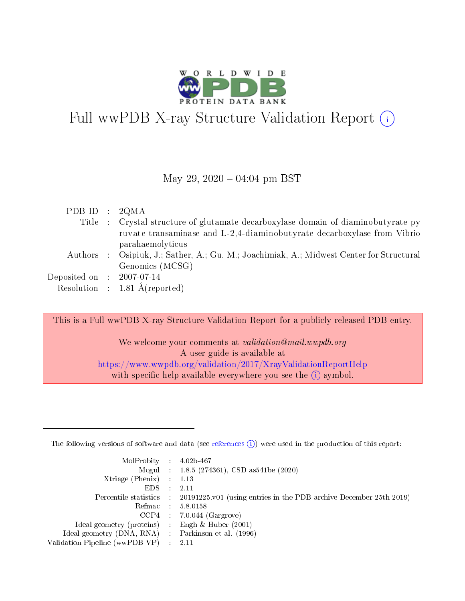

# Full wwPDB X-ray Structure Validation Report (i)

#### May 29,  $2020 - 04:04$  pm BST

| PDB ID : $2QMA$             |                                                                                             |
|-----------------------------|---------------------------------------------------------------------------------------------|
|                             | Title : Crystal structure of glutamate decarboxylase domain of diaminobutyrate-py           |
|                             | ruvate transaminase and L-2,4-diaminobutyrate decarboxylase from Vibrio<br>parahaemolyticus |
|                             | Authors : Osipiuk, J.; Sather, A.; Gu, M.; Joachimiak, A.; Midwest Center for Structural    |
|                             | Genomics (MCSG)                                                                             |
| Deposited on : $2007-07-14$ |                                                                                             |
|                             | Resolution : $1.81 \text{ Å}$ (reported)                                                    |

This is a Full wwPDB X-ray Structure Validation Report for a publicly released PDB entry.

We welcome your comments at validation@mail.wwpdb.org A user guide is available at <https://www.wwpdb.org/validation/2017/XrayValidationReportHelp> with specific help available everywhere you see the  $(i)$  symbol.

The following versions of software and data (see [references](https://www.wwpdb.org/validation/2017/XrayValidationReportHelp#references)  $(1)$ ) were used in the production of this report:

| $MolProbability$ : 4.02b-467                      |                              |                                                                                            |
|---------------------------------------------------|------------------------------|--------------------------------------------------------------------------------------------|
|                                                   |                              | Mogul : $1.8.5$ (274361), CSD as 541be (2020)                                              |
| Xtriage (Phenix) $: 1.13$                         |                              |                                                                                            |
| EDS –                                             | $\sim$                       | -2.11                                                                                      |
|                                                   |                              | Percentile statistics : 20191225.v01 (using entries in the PDB archive December 25th 2019) |
| Refmac : 5.8.0158                                 |                              |                                                                                            |
| CCP4                                              |                              | $7.0.044$ (Gargrove)                                                                       |
| Ideal geometry (proteins)                         | $\mathcal{L}_{\mathrm{eff}}$ | Engh & Huber $(2001)$                                                                      |
| Ideal geometry (DNA, RNA) Parkinson et al. (1996) |                              |                                                                                            |
| Validation Pipeline (wwPDB-VP) : 2.11             |                              |                                                                                            |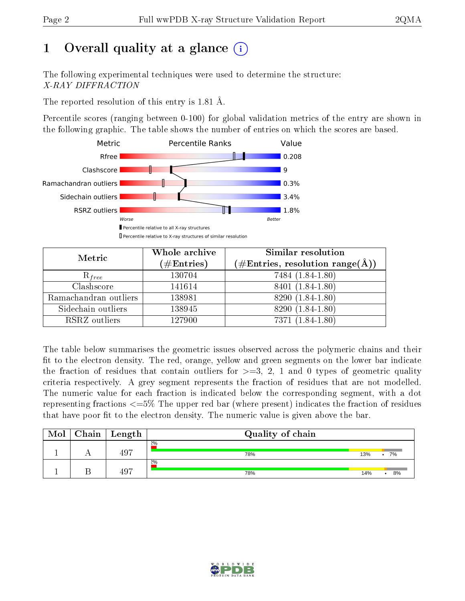# 1 [O](https://www.wwpdb.org/validation/2017/XrayValidationReportHelp#overall_quality)verall quality at a glance  $(i)$

The following experimental techniques were used to determine the structure: X-RAY DIFFRACTION

The reported resolution of this entry is 1.81 Å.

Percentile scores (ranging between 0-100) for global validation metrics of the entry are shown in the following graphic. The table shows the number of entries on which the scores are based.



| Metric                | Whole archive<br>$(\#\mathrm{Entries})$ | Similar resolution<br>$(\#\text{Entries}, \text{resolution range}(\text{\AA}))$ |  |  |
|-----------------------|-----------------------------------------|---------------------------------------------------------------------------------|--|--|
| $R_{free}$            | 130704                                  | 7484 (1.84-1.80)                                                                |  |  |
| Clashscore            | 141614                                  | 8401 (1.84-1.80)                                                                |  |  |
| Ramachandran outliers | 138981                                  | 8290 (1.84-1.80)                                                                |  |  |
| Sidechain outliers    | 138945                                  | 8290 (1.84-1.80)                                                                |  |  |
| RSRZ outliers         | 127900                                  | 7371 (1.84-1.80)                                                                |  |  |

The table below summarises the geometric issues observed across the polymeric chains and their fit to the electron density. The red, orange, yellow and green segments on the lower bar indicate the fraction of residues that contain outliers for  $>=3, 2, 1$  and 0 types of geometric quality criteria respectively. A grey segment represents the fraction of residues that are not modelled. The numeric value for each fraction is indicated below the corresponding segment, with a dot representing fractions  $\epsilon=5\%$  The upper red bar (where present) indicates the fraction of residues that have poor fit to the electron density. The numeric value is given above the bar.

| Mol | Chain | ' Length | Quality of chain |     |                 |
|-----|-------|----------|------------------|-----|-----------------|
|     |       | 497      | 2%<br>78%        | 13% | 7%<br>$\bullet$ |
|     |       | 497      | 2%<br>78%        | 14% | 8%              |

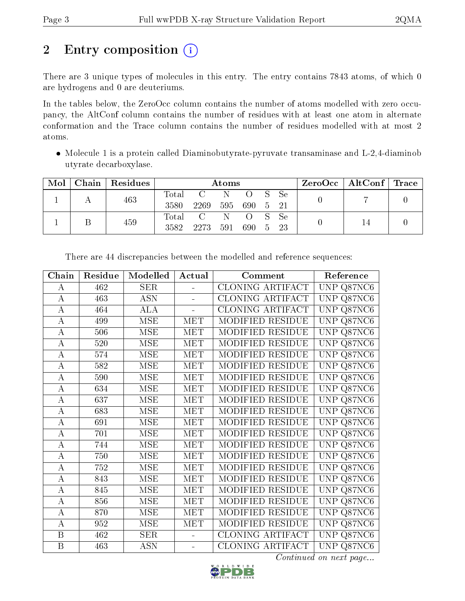# 2 Entry composition (i)

There are 3 unique types of molecules in this entry. The entry contains 7843 atoms, of which 0 are hydrogens and 0 are deuteriums.

In the tables below, the ZeroOcc column contains the number of atoms modelled with zero occupancy, the AltConf column contains the number of residues with at least one atom in alternate conformation and the Trace column contains the number of residues modelled with at most 2 atoms.

• Molecule 1 is a protein called Diaminobutyrate-pyruvate transaminase and L-2,4-diaminob utyrate decarboxylase.

| Mol | Chain | Residues | Atoms |                |     |                       |      | ZeroOcc   AltConf   Trace |    |  |
|-----|-------|----------|-------|----------------|-----|-----------------------|------|---------------------------|----|--|
|     |       | 463      | Total | $\overline{C}$ | - N | O S Se                |      |                           |    |  |
|     |       |          | 3580  | 2269           | 595 | 690                   | 5 21 |                           |    |  |
|     |       | 459      |       | Total C N      |     | $\bigcirc$ $\bigcirc$ | S Se |                           | 14 |  |
|     |       |          | 3582  | 2273           | 591 | 690 5                 | 23   |                           |    |  |

| Chain              | Residue | Modelled   | Actual | Comment                 | Reference                                               |
|--------------------|---------|------------|--------|-------------------------|---------------------------------------------------------|
| A                  | 462     | <b>SER</b> |        | <b>CLONING ARTIFACT</b> | Q87NC6<br>UNP                                           |
| A                  | 463     | <b>ASN</b> |        | CLONING ARTIFACT        | UNP<br>Q87NC6                                           |
| A                  | 464     | ALA        |        | <b>CLONING ARTIFACT</b> | <b>UNP</b><br>Q87NC6                                    |
| А                  | 499     | MSE        | MET    | MODIFIED RESIDUE        | <b>UNP</b><br>Q87NC6                                    |
| $\bf{A}$           | 506     | MSE        | MET    | <b>MODIFIED RESIDUE</b> | <b>UNP</b><br>Q87NC6                                    |
| $\bf{A}$           | 520     | MSE        | MET    | MODIFIED RESIDUE        | <b>UNP</b><br>Q87NC6                                    |
| $\bf{A}$           | 574     | <b>MSE</b> | MET    | MODIFIED RESIDUE        | <b>UNP</b><br>Q87NC6                                    |
| $\bf{A}$           | 582     | <b>MSE</b> | MET    | <b>MODIFIED RESIDUE</b> | Q87NC6<br><b>UNP</b>                                    |
| $\overline{\rm A}$ | 590     | <b>MSE</b> | MET    | MODIFIED RESIDUE        | $\overline{UNP}$<br>$\overline{Q87NC6}$                 |
| $\bf{A}$           | 634     | <b>MSE</b> | MET    | <b>MODIFIED RESIDUE</b> | Q87NC6<br><b>UNP</b>                                    |
| $\bf{A}$           | 637     | <b>MSE</b> | MET    | MODIFIED RESIDUE        | <b>UNP</b><br>$\overline{Q87NC6}$                       |
| A                  | 683     | <b>MSE</b> | MET    | <b>MODIFIED RESIDUE</b> | Q87NC6<br><b>UNP</b>                                    |
| $\bf{A}$           | 691     | <b>MSE</b> | MET    | MODIFIED RESIDUE        | <b>UNP</b><br>Q87NC6                                    |
| А                  | 701     | MSE        | MET    | MODIFIED RESIDUE        | <b>UNP</b><br>$\overline{Q87NC6}$                       |
| А                  | 744     | MSE        | MET    | MODIFIED RESIDUE        | <b>UNP</b><br>Q87NC6                                    |
| A                  | 750     | MSE        | MET    | MODIFIED RESIDUE        | $\overline{Q}87\overline{N}\overline{C}6$<br><b>UNP</b> |
| А                  | 752     | MSE        | MET    | MODIFIED RESIDUE        | <b>UNP</b><br>Q87NC6                                    |
| A                  | 843     | MSE        | MET    | MODIFIED RESIDUE        | Q87NC6<br><b>UNP</b>                                    |
| А                  | 845     | MSE        | MET    | MODIFIED RESIDUE        | <b>UNP</b><br>$\overline{Q}87\overline{N}\overline{C}6$ |
| А                  | 856     | MSE        | MET    | MODIFIED RESIDUE        | <b>UNP</b><br>Q87NC6                                    |
| $\boldsymbol{A}$   | 870     | <b>MSE</b> | MET    | MODIFIED RESIDUE        | <b>UNP</b><br>Q87NC6                                    |
| $\bf{A}$           | 952     | <b>MSE</b> | MET    | MODIFIED RESIDUE        | <b>UNP</b><br>Q87NC6                                    |
| B                  | 462     | <b>SER</b> |        | CLONING ARTIFACT        | UNP Q87NC6                                              |
| B                  | 463     | <b>ASN</b> |        | CLONING ARTIFACT        | UNP Q87NC6                                              |

There are 44 discrepancies between the modelled and reference sequences:

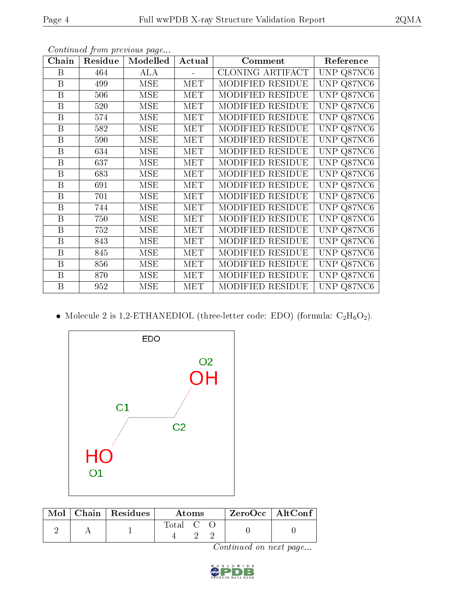| <i>Continued from previous page</i> |         |            |            |                            |                |  |  |  |
|-------------------------------------|---------|------------|------------|----------------------------|----------------|--|--|--|
| Chain                               | Residue | Modelled   | Actual     | Comment                    | Reference      |  |  |  |
| Β                                   | 464     | <b>ALA</b> |            | CLONING ARTIFACT           | UNP Q87NC6     |  |  |  |
| B                                   | 499     | MSE        | <b>MET</b> | MODIFIED RESIDUE           | UNP Q87NC6     |  |  |  |
| B                                   | 506     | MSE        | MET        | MODIFIED RESIDUE           | UNP Q87NC6     |  |  |  |
| B                                   | 520     | MSE        | <b>MET</b> | <b>MODIFIED RESIDUE</b>    | UNP Q87NC6     |  |  |  |
| B                                   | 574     | MSE        | MET        | MODIFIED RESIDUE           | UNP Q87NC6     |  |  |  |
| B                                   | 582     | MSE        | MET        | MODIFIED RESIDUE           | UNP Q87NC6     |  |  |  |
| B                                   | 590     | MSE        | MET        | MODIFIED RESIDUE           | UNP Q87NC6     |  |  |  |
| B                                   | 634     | MSE        | MET        | <b>MODIFIED RESIDUE</b>    | UNP Q87NC6     |  |  |  |
| B                                   | 637     | MSE.       | MET        | MODIFIED RESIDUE           | UNP Q87NC6     |  |  |  |
| B                                   | 683     | MSE        | MET        | MODIFIED RESIDUE           | UNP Q87NC6     |  |  |  |
| B                                   | 691     | MSE        | MET        | MODIFIED RESIDUE           | UNP Q87NC6     |  |  |  |
| B                                   | 701     | MSE        | MET        | MODIFIED RESIDUE           | Q87NC6<br>UNP. |  |  |  |
| Β                                   | 744     | MSE        | MET        | <b>RESIDUE</b><br>MODIFIED | UNP Q87NC6     |  |  |  |

• Molecule 2 is 1,2-ETHANEDIOL (three-letter code: EDO) (formula:  $C_2H_6O_2$ ).

B | 750 | MSE | MET | MODIFIED RESIDUE | UNP Q87NC6 B 752 MSE MET MODIFIED RESIDUE UNP Q87NC6 B | 843 | MSE | MET | MODIFIED RESIDUE | UNP Q87NC6 B | 845 | MSE | MET | MODIFIED RESIDUE | UNP Q87NC6 B 856 MSE MET MODIFIED RESIDUE UNP Q87NC6 B | 870 | MSE | MET | MODIFIED RESIDUE | UNP Q87NC6 B | 952 | MSE | MET | MODIFIED RESIDUE | UNP Q87NC6



|  | $Mol$   Chain   Residues | Atoms   |  |  | $ZeroOcc$   AltConf |  |
|--|--------------------------|---------|--|--|---------------------|--|
|  |                          | Total C |  |  |                     |  |

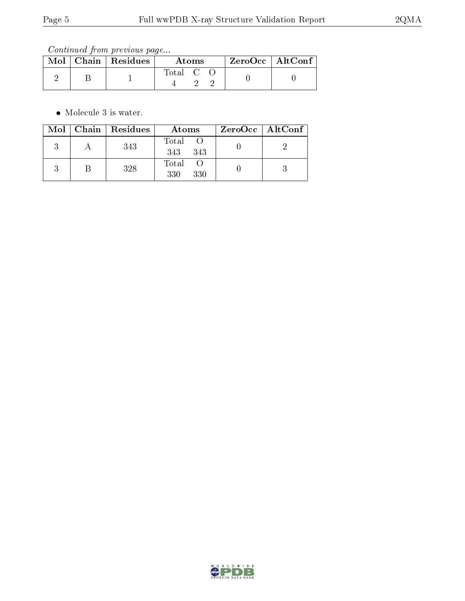Continued from previous page...

|  | $\text{Mol}$   Chain   Residues | Atoms                             |  |  | $ZeroOcc$   AltConf |  |
|--|---------------------------------|-----------------------------------|--|--|---------------------|--|
|  |                                 | $\mathrm{Total} \quad \mathrm{C}$ |  |  |                     |  |

• Molecule 3 is water.

|  | Mol   Chain   Residues | Atoms                 | $ZeroOcc \mid AltConf \mid$ |
|--|------------------------|-----------------------|-----------------------------|
|  | 343                    | Total O<br>343<br>343 |                             |
|  | 328                    | Total O<br>330<br>330 |                             |

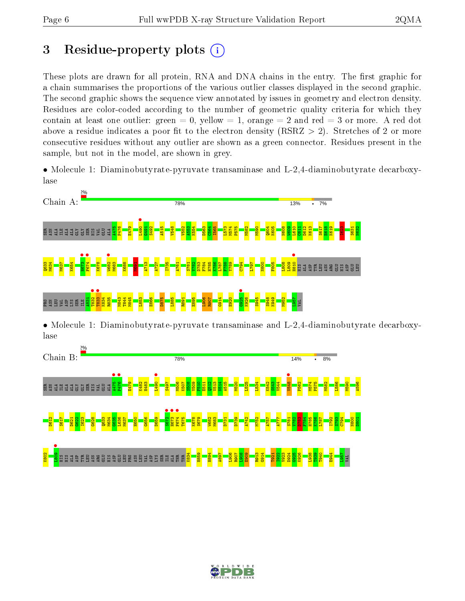# 3 Residue-property plots  $(i)$

These plots are drawn for all protein, RNA and DNA chains in the entry. The first graphic for a chain summarises the proportions of the various outlier classes displayed in the second graphic. The second graphic shows the sequence view annotated by issues in geometry and electron density. Residues are color-coded according to the number of geometric quality criteria for which they contain at least one outlier: green  $= 0$ , yellow  $= 1$ , orange  $= 2$  and red  $= 3$  or more. A red dot above a residue indicates a poor fit to the electron density (RSRZ  $> 2$ ). Stretches of 2 or more consecutive residues without any outlier are shown as a green connector. Residues present in the sample, but not in the model, are shown in grey.

• Molecule 1: Diaminobutyrate-pyruvate transaminase and L-2,4-diaminobutyrate decarboxylase



• Molecule 1: Diaminobutyrate-pyruvate transaminase and L-2,4-diaminobutyrate decarboxylase



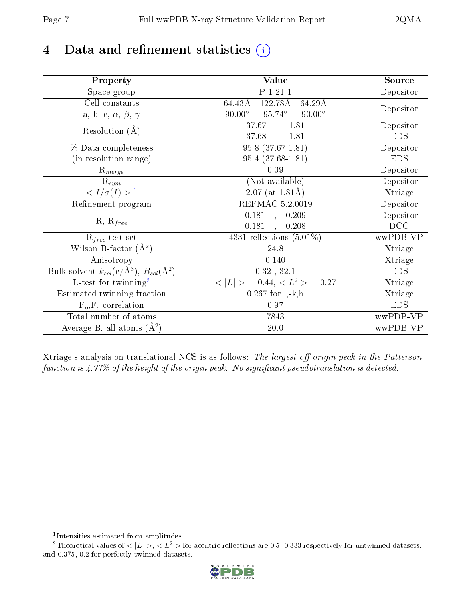# 4 Data and refinement statistics  $(i)$

| Property                                                             | Value                                           | Source     |
|----------------------------------------------------------------------|-------------------------------------------------|------------|
| Space group                                                          | P 1 21 1                                        | Depositor  |
| Cell constants                                                       | 122.78Å<br>64.43Å<br>$64.29\text{\AA}$          |            |
| a, b, c, $\alpha$ , $\beta$ , $\gamma$                               | $95.74^\circ$<br>$90.00^\circ$<br>$90.00^\circ$ | Depositor  |
| Resolution $(A)$                                                     | 37.67<br>$-1.81$                                | Depositor  |
|                                                                      | 37.68<br>$-1.81$                                | <b>EDS</b> |
| % Data completeness                                                  | $95.8(37.67-1.81)$                              | Depositor  |
| (in resolution range)                                                | $95.4(37.68-1.81)$                              | <b>EDS</b> |
| $\mathrm{R}_{merge}$                                                 | 0.09                                            | Depositor  |
| $\mathrm{R}_{sym}$                                                   | (Not available)                                 | Depositor  |
| $\langle I/\sigma(I) \rangle^{-1}$                                   | $\overline{2.07}$ (at 1.81Å)                    | Xtriage    |
| Refinement program                                                   | <b>REFMAC 5.2.0019</b>                          | Depositor  |
|                                                                      | $\overline{0.181}$ ,<br>0.209                   | Depositor  |
| $R, R_{free}$                                                        | 0.181<br>0.208<br>$\ddot{\phantom{a}}$          | DCC        |
| $R_{free}$ test set                                                  | 4331 reflections $(5.01\%)$                     | wwPDB-VP   |
| Wilson B-factor $(A^2)$                                              | 24.8                                            | Xtriage    |
| Anisotropy                                                           | 0.140                                           | Xtriage    |
| Bulk solvent $k_{sol}(e/\mathring{A}^3)$ , $B_{sol}(\mathring{A}^2)$ | $0.32$ , $32.1$                                 | <b>EDS</b> |
| $\overline{L-test for}$ twinning <sup>2</sup>                        | $< L >$ = 0.44, $< L2 >$ = 0.27                 | Xtriage    |
| Estimated twinning fraction                                          | $0.267$ for $1, -k, h$                          | Xtriage    |
| $F_o, F_c$ correlation                                               | 0.97                                            | <b>EDS</b> |
| Total number of atoms                                                | 7843                                            | wwPDB-VP   |
| Average B, all atoms $(A^2)$                                         | $20.0\,$                                        | wwPDB-VP   |

Xtriage's analysis on translational NCS is as follows: The largest off-origin peak in the Patterson function is  $4.77\%$  of the height of the origin peak. No significant pseudotranslation is detected.

<sup>&</sup>lt;sup>2</sup>Theoretical values of  $\langle |L| \rangle$ ,  $\langle L^2 \rangle$  for acentric reflections are 0.5, 0.333 respectively for untwinned datasets, and 0.375, 0.2 for perfectly twinned datasets.



<span id="page-6-1"></span><span id="page-6-0"></span><sup>1</sup> Intensities estimated from amplitudes.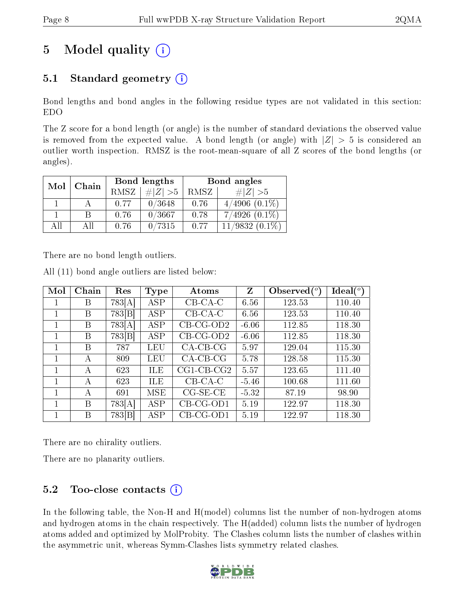# 5 Model quality  $(i)$

# 5.1 Standard geometry  $(i)$

Bond lengths and bond angles in the following residue types are not validated in this section: EDO

The Z score for a bond length (or angle) is the number of standard deviations the observed value is removed from the expected value. A bond length (or angle) with  $|Z| > 5$  is considered an outlier worth inspection. RMSZ is the root-mean-square of all Z scores of the bond lengths (or angles).

| Mol | Chain |      | Bond lengths | Bond angles |                                |  |
|-----|-------|------|--------------|-------------|--------------------------------|--|
|     |       | RMSZ | # $ Z >5$    | RMSZ        | # $ Z  > 5$                    |  |
|     |       | 0.77 | 0/3648       | 0.76        | $4/4906$ $(0.1\%)$             |  |
|     | R     | 0.76 | 0/3667       | 0.78        | $7/4926$ $(0.1\%)$             |  |
| AH  | АH    | 0.76 | 0/7315       | 0.77        | $11/9832$ $(0.1\overline{\%})$ |  |

There are no bond length outliers.

| Mol | Chain | Res                | <b>Type</b> | Atoms                | $\mathbf{Z}$ | Observed $(^\circ)$ | Ideal $(^\circ)$ |
|-----|-------|--------------------|-------------|----------------------|--------------|---------------------|------------------|
| 1   | B     | 783[A]             | <b>ASP</b>  | $CB-CA-C$            | 6.56         | 123.53              | 110.40           |
|     | Β     | 783 B              | <b>ASP</b>  | $CB-CA-C$            | 6.56         | 123.53              | 110.40           |
| 1   | B     | 783[A]             | <b>ASP</b>  | $CB-CG-OD2$          | $-6.06$      | 112.85              | 118.30           |
| 1   | B     | 783 <sup>[B]</sup> | <b>ASP</b>  | $CB-CG-OD2$          | $-6.06$      | 112.85              | 118.30           |
| 1   | B     | 787                | LEU         | $CA-CB-CG$           | 5.97         | 129.04              | 115.30           |
| 1   | А     | 809                | LEU         | $CA-CB-CG$           | 5.78         | 128.58              | 115.30           |
| 1   | А     | 623                | ILE         | $CG1$ - $CB$ - $CG2$ | 5.57         | 123.65              | 111.40           |
|     | A     | 623                | ILE         | $CB-CA-C$            | $-5.46$      | 100.68              | 111.60           |
| 1   | А     | 691                | MSE         | $CG-SE-CE$           | $-5.32$      | 87.19               | 98.90            |
|     | B     | 783[A]             | ASP         | $CB-CG-OD1$          | 5.19         | 122.97              | 118.30           |
|     | B     | 783[B]             | ASP         | $CB-CG-OD1$          | 5.19         | 122.97              | 118.30           |

All (11) bond angle outliers are listed below:

There are no chirality outliers.

There are no planarity outliers.

### $5.2$  Too-close contacts  $(i)$

In the following table, the Non-H and H(model) columns list the number of non-hydrogen atoms and hydrogen atoms in the chain respectively. The H(added) column lists the number of hydrogen atoms added and optimized by MolProbity. The Clashes column lists the number of clashes within the asymmetric unit, whereas Symm-Clashes lists symmetry related clashes.

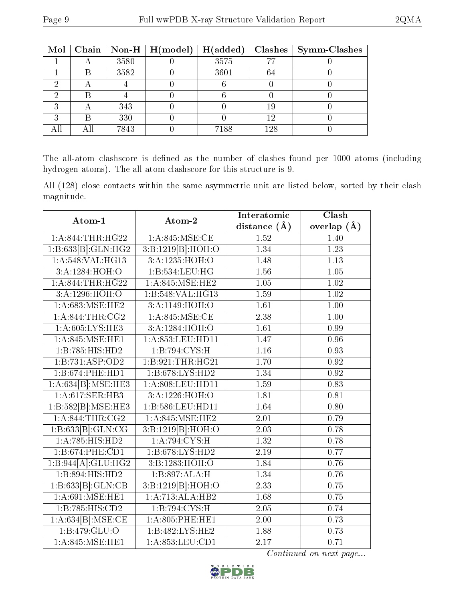|   |      | Mol   Chain   Non-H   $H (model)$   $H (added)$ |      |     | $Clashes$   Symm-Clashes |
|---|------|-------------------------------------------------|------|-----|--------------------------|
|   | 3580 |                                                 | 3575 | 77  |                          |
| B | 3582 |                                                 | 3601 | 64  |                          |
|   |      |                                                 |      |     |                          |
|   |      |                                                 |      |     |                          |
|   | 343  |                                                 |      | 19  |                          |
| R | 330  |                                                 |      | 12  |                          |
|   | 7843 |                                                 | 7188 | 128 |                          |

The all-atom clashscore is defined as the number of clashes found per 1000 atoms (including hydrogen atoms). The all-atom clashscore for this structure is 9.

All (128) close contacts within the same asymmetric unit are listed below, sorted by their clash magnitude.

| Atom-1                                       | Atom-2               | Interatomic       | Clash             |
|----------------------------------------------|----------------------|-------------------|-------------------|
|                                              |                      | distance $(\AA)$  | overlap $(\AA)$   |
| 1: A:844:THR:HG22                            | 1: A:845: MSE: CE    | 1.52              | 1.40              |
| 1:B:633[B]:GLN:HG2                           | 3:B:1219[B]:HOH:O    | 1.34              | 1.23              |
| 1: A:548: VAL:HG13                           | 3: A: 1235: HOH:O    | 1.48              | 1.13              |
| 3:A:1284:HOH:O                               | 1:B:534:LEU:HG       | 1.56              | $\overline{1.05}$ |
| 1: A:844:THR:HG22                            | 1:A:845:MSE:HE2      | 1.05              | 1.02              |
| 3:A:1296:HOH:O                               | 1:B:548: VAL: HG13   | 1.59              | 1.02              |
| 1: A:683:MSE:HE2                             | 3: A: 1149: HOH:O    | 1.61              | 1.00              |
| 1: A:844:THR:CG2                             | 1: A:845: MSE: CE    | 2.38              | 1.00              |
| 1:A:605:LYS:HE3                              | 3:A:1284:HOH:O       | 1.61              | 0.99              |
| $1: A:845: \overline{\text{MSE}:\text{HE1}}$ | 1: A: 853: LEU: HD11 | 1.47              | 0.96              |
| 1:B:785:HIS:HD2                              | 1: B:794: CYS:H      | 1.16              | 0.93              |
| 1:B:731:ASP:OD2                              | 1:B:921:THR:HG21     | 1.70              | 0.92              |
| 1:B:674:PHE:HD1                              | 1:B:678:LYS:HD2      | 1.34              | 0.92              |
| 1:A:634[B]:MSE:HE3                           | 1:A:808:LEU:HD11     | 1.59              | 0.83              |
| 1:A:617:SER:HB3                              | 3:A:1226:HOH:O       | 1.81              | 0.81              |
| 1:B:582[B]:MSE:HE3                           | 1:B:586:LEU:HD11     | 1.64              | $\overline{0.80}$ |
| 1: A:844:THR:CG2                             | 1: A:845: MSE: HE2   | 2.01              | 0.79              |
| 1:B:633[B]:GLN:CG                            | 3:B:1219[B]:HOH:O    | 2.03              | 0.78              |
| 1:A:785:HIS:HD2                              | 1: A:794: CYS:H      | 1.32              | 0.78              |
| 1:B:674:PHE:CD1                              | 1:B:678:LYS:HD2      | 2.19              | 0.77              |
| 1:B:944[A]:GLU:HG2                           | 3:B:1283:HOH:O       | 1.84              | 0.76              |
| 1:B:894:HIS:HD2                              | 1:B:897:ALA:H        | 1.34              | 0.76              |
| 1:B:633[B]:GLN:CB                            | 3:B:1219[B]:HOH:O    | 2.33              | 0.75              |
| 1: A:691: MSE: HE1                           | 1:A:713:ALA:HB2      | 1.68              | 0.75              |
| 1:B:785:HIS:CD2                              | 1:B:794:CYS:H        | 2.05              | 0.74              |
| 1:A:634[B]:MSE:CE                            | $1: A:805:$ PHE:HE1  | $\overline{2.00}$ | 0.73              |
| 1:B:479:GLU:O                                | 1:B:482:LYS:HE2      | 1.88              | 0.73              |
| 1:A:845:MSE:HE1                              | 1:A:853:LEU:CD1      | 2.17              | 0.71              |

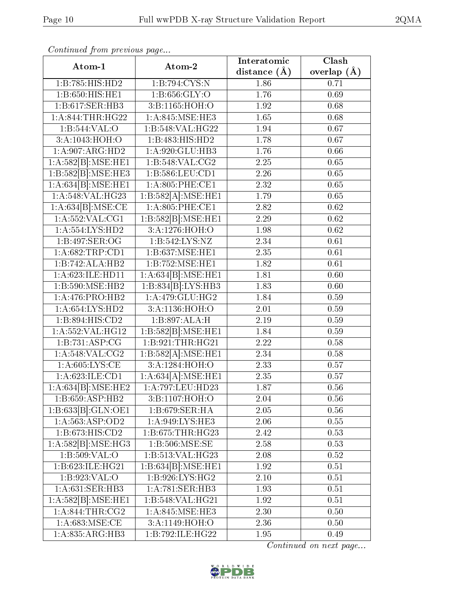| Atom-1                                     | Atom-2                              | Interatomic      | Clash           |
|--------------------------------------------|-------------------------------------|------------------|-----------------|
|                                            |                                     | distance $(\AA)$ | overlap $(\AA)$ |
| 1:B:785:HIS:HD2                            | 1:B:794:CYS:N                       | 1.86             | 0.71            |
| 1:B:650:HIS:HE1                            | 1: B: 656: GLY: O                   | 1.76             | 0.69            |
| $1:B:617:SER:\overline{HB3}$               | 3:B:1165:HOH:O                      | 1.92             | 0.68            |
| 1: A:844:THR:HG22                          | 1: A:845: MSE: HE3                  | 1.65             | 0.68            |
| 1:B:544:VAL:O                              | 1:B:548:VAL:HG22                    | 1.94             | 0.67            |
| 3:A:1043:HOH:O                             | 1:B:483:HIS:HD2                     | 1.78             | 0.67            |
| $1:A:\overline{907:ARG:HD2}$               | 1:A:920:GLU:HB3                     | 1.76             | 0.66            |
| 1:A:582[B]:MSE:HE1                         | 1:B:548:VAL:CG2                     | 2.25             | 0.65            |
| 1:B:582[B]:MSE:HE3                         | 1:B:586:LEU:CD1                     | 2.26             | 0.65            |
| 1:A:634[B]:MSE:HE1                         | 1: A:805: PHE:CE1                   | 2.32             | 0.65            |
| 1: A:548: VAL:HG23                         | 1:B:582[A]:MSE:HE1                  | 1.79             | 0.65            |
| 1:A:634[B]:MSE:CE                          | 1: A:805:PHE:CE1                    | 2.82             | 0.62            |
| 1: A: 552: VAL: CG1                        | 1:B:582[B]:MSE:HE1                  | 2.29             | 0.62            |
| 1: A: 554: LYS: HD2                        | 3:A:1276:HOH:O                      | 1.98             | 0.62            |
| 1:B:497:SER:OG                             | 1:B:542:LYS:NZ                      | 2.34             | 0.61            |
| 1:A:682:TRP:CD1                            | $1:B:637:\overline{\text{MSE:HE1}}$ | 2.35             | 0.61            |
| 1:B:742:ALA:HB2                            | 1:B:752:MSE:HE1                     | 1.82             | 0.61            |
| 1:A:623:ILE:HD11                           | 1:A:634[B]:MSE:HE1                  | 1.81             | 0.60            |
| 1:B:590:MSE:HB2                            | 1:B:834[B]:LYS:HB3                  | 1.83             | 0.60            |
| 1:A:476:PRO:HB2                            | 1:A:479:GLU:HG2                     | 1.84             | 0.59            |
| 1: A:654:LYS:HD2                           | 3:A:1136:HOH:O                      | 2.01             | 0.59            |
| 1:B:894:HIS:CD2                            | 1:B:897:ALA:H                       | 2.19             | 0.59            |
| 1:A:552:VAL:HG12                           | $1:B:582[B]\overline{.MSE:HE1}$     | 1.84             | 0.59            |
| 1:B:731:ASP:CG                             | 1:B:921:THR:HG21                    | 2.22             | 0.58            |
| 1:A:548:VAL:CG2                            | 1:B:582[A]:MSE:HE1                  | 2.34             | 0.58            |
| 1: A:605: LYS: CE                          | 3:A:1284:HOH:O                      | 2.33             | 0.57            |
| 1:A:623:ILE:CD1                            | 1:A:634[A]:MSE:HE1                  | 2.35             | 0.57            |
| 1:A:634[B]:MSE:HE2                         | 1:A:797:LEU:HD23                    | 1.87             | 0.56            |
| 1:B:659:ASP:HB2                            | 3:B:1107:HOH:O                      | 2.04             | 0.56            |
| 1:B:633[B]:GLN:OE1                         | $1: B:679: SER: HA$                 | 2.05             | 0.56            |
| 1:A:563:ASP:OD2                            | 1:A:949:LYS:HE3                     | 2.06             | $0.55\,$        |
| 1:B:673:HIS:CD2                            | 1:B:675:THR:HG23                    | 2.42             | 0.53            |
| $1:A.\overline{582 B }.\overline{MSE:HG3}$ | $1: B:506$ : MSE: SE                | 2.58             | 0.53            |
| 1:B:509:VAL:O                              | 1:B:513:VAL:HG23                    | 2.08             | 0.52            |
| 1:B:623:ILE:HG21                           | 1:B:634[B]:MSE:HE1                  | 1.92             | $0.51\,$        |
| 1:B:923:VAL:O                              | 1: B:926: IYS: HG2                  | 2.10             | 0.51            |
| 1:A:631:SER:HB3                            | 1:A:781:SER:HB3                     | 1.93             | $0.51\,$        |
| 1:A:582[B]:MSE:HE1                         | 1:B:548:VAL:HG21                    | 1.92             | 0.51            |
| 1: A:844:THR:CG2                           | 1:A:845:MSE:HE3                     | 2.30             | 0.50            |
| 1: A:683:MSE:CE                            | 3:A:1149:HOH:O                      | 2.36             | 0.50            |
| 1: A:835: ARG:HB3                          | 1:B:792:ILE:HG22                    | 1.95             | 0.49            |

Continued from previous page...

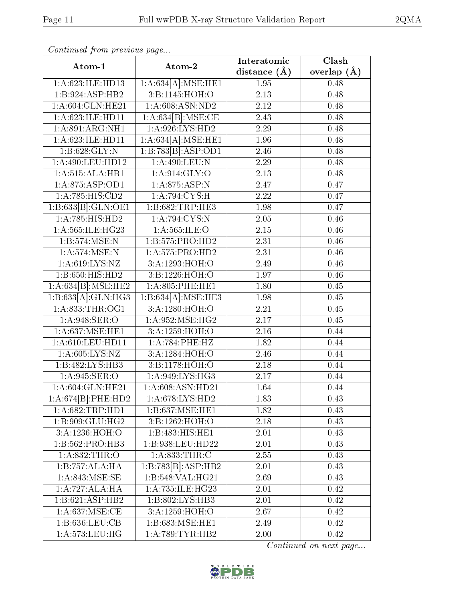| Atom-1                       | Atom-2                        | Interatomic       | Clash         |
|------------------------------|-------------------------------|-------------------|---------------|
|                              |                               | distance $(\AA)$  | overlap $(A)$ |
| 1:A:623:ILE:HD13             | 1:A:634[A]:MSE:HE1            | 1.95              | 0.48          |
| 1:B:924:ASP:HB2              | $3:B:11\overline{45:HOH:O}$   | $\overline{2.13}$ | 0.48          |
| 1: A:604: GLN: HE21          | 1:A:608:ASN:ND2               | 2.12              | 0.48          |
| 1:A:623:ILE:HD11             | 1:A:634[B]:MSE:CE             | 2.43              | 0.48          |
| 1:A:891:ARG:NH1              | 1: A:926: LYS: HD2            | 2.29              | 0.48          |
| 1:A:623:ILE:HD11             | 1:A:634[A]:MSE:HE1            | 1.96              | 0.48          |
| 1: B:628: GLY:N              | 1:B:783[B]:ASP:OD1            | 2.46              | 0.48          |
| 1:A:490:LEU:HD12             | 1:A:490:LEU:N                 | 2.29              | 0.48          |
| 1: A:515: ALA:HB1            | 1: A:914: GLY:O               | 2.13              | 0.48          |
| 1:A:875:ASP:OD1              | $1:\overline{A:875:ASP:N}$    | 2.47              | 0.47          |
| 1:A:785:HIS:CD2              | 1: A:794: CYS:H               | 2.22              | 0.47          |
| 1:B:633[B]:GLN:OE1           | 1:B:682:TRP:HE3               | 1.98              | 0.47          |
| $1:A:785:HIS:\overline{HD2}$ | 1:A:794:CYS:N                 | 2.05              | 0.46          |
| 1: A: 565: ILE: HG23         | 1: A: 565: ILE: O             | $\overline{2.15}$ | 0.46          |
| 1:B:574:MSE:N                | 1: B: 575: PRO: HD2           | 2.31              | 0.46          |
| 1:A:574:MSE:N                | 1: A: 575: PRO: HD2           | 2.31              | 0.46          |
| 1: A:619: LYS: NZ            | 3:A:1293:HOH:O                | 2.49              | 0.46          |
| 1:B:650:HIS:HD2              | 3:B:1226:HOH:O                | 1.97              | 0.46          |
| 1:A:634[B]:MSE:HE2           | 1: A:805:PHE:HE1              | 1.80              | 0.45          |
| 1:B:633[A]:GLN:HG3           | 1:B:634[A]:MSE:HE3            | 1.98              | 0.45          |
| 1: A: 833: THR: OG1          | 3:A:1280:HOH:O                | 2.21              | 0.45          |
| 1:A:948:SER:O                | 1: A:952:MSE:HG2              | 2.17              | 0.45          |
| 1: A:637: MSE: HE1           | 3:A:1259:HOH:O                | 2.16              | 0.44          |
| 1: A:610: LEU: HD11          | 1:A:784:PHE:HZ                | 1.82              | 0.44          |
| 1: A:605: LYS: NZ            | 3:A:1284:HOH:O                | 2.46              | 0.44          |
| 1:B:482:LYS:HB3              | 3:B:1178:HOH:O                | 2.18              | 0.44          |
| 1:A:945:SER:O                | 1: A:949: LYS: HG3            | 2.17              | 0.44          |
| 1: A:604: GLN: HE21          | 1:A:608:ASN:HD21              | 1.64              | 0.44          |
| 1:A:674[B]:PHE:HD2           | 1: A:678: LYS: HD2            | 1.83              | 0.43          |
| 1: A:682:TRP:HD1             | 1:B:637:MSE:HE1               | 1.82              | 0.43          |
| 1:B:909:GLU:HG2              | 3:B:1262:HOH:O                | 2.18              | 0.43          |
| 3:A:1236:HOH:O               | 1:B:483:HIS:HET               | 2.01              | 0.43          |
| 1:B:562:PRO:HB3              | 1:B:938:LEU:HD22              | 2.01              | 0.43          |
| 1: A:832:THR:O               | 1: A:833:THR:C                | 2.55              | 0.43          |
| 1:B:757:ALA:HA               | 1:B:783[B]:AST:B2             | 2.01              | 0.43          |
| 1: A:843:MSE:SE              | $1:B:548:V\overline{AL:HG21}$ | 2.69              | 0.43          |
| 1:A:727:ALA:HA               | 1:A:735:ILE:HG23              | 2.01              | 0.42          |
| 1:B:621:ASP:HB2              | 1:B:802:LYS:HB3               | 2.01              | 0.42          |
| 1: A:637: MSE:CE             | 3:A:1259:HOH:O                | 2.67              | 0.42          |
| 1:B:636:LEU:CB               | 1: B: 683: MSE: HE1           | 2.49              | 0.42          |
| 1:A:573:LEU:HG               | 1: A:789: TYR: HB2            | 2.00              | 0.42          |

Continued from previous page...

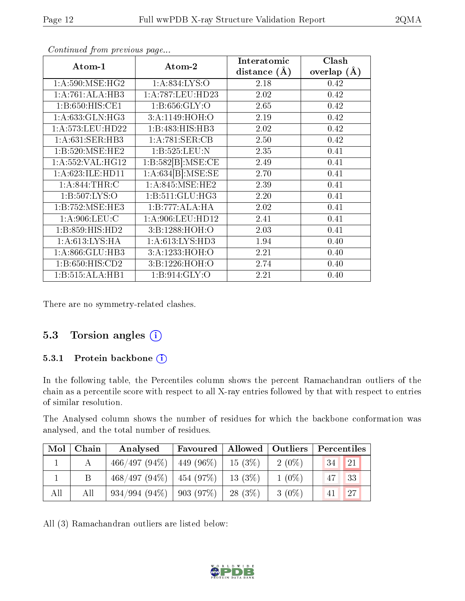| Atom-1               | Atom-2              | Interatomic    | Clash           |
|----------------------|---------------------|----------------|-----------------|
|                      |                     | distance $(A)$ | overlap $(\AA)$ |
| 1: A:590:MSE:HG2     | 1:A:834:LYS:O       | 2.18           | 0.42            |
| 1: A:761: ALA:HB3    | 1:A:787:LEU:HD23    | 2.02           | 0.42            |
| 1:B:650:HIS:CE1      | 1:B:656:GLY:O       | 2.65           | 0.42            |
| 1: A:633: GLN: HG3   | 3:A:1149:HOH:O      | 2.19           | 0.42            |
| 1: A:573:LEU:HD22    | 1:B:483:HIS:HBB     | 2.02           | 0.42            |
| 1: A:631:SER:HB3     | 1:A:781:SER:CB      | 2.50           | 0.42            |
| 1:B:520:MSE:HE2      | 1:B:525:LEU:N       | 2.35           | 0.41            |
| 1: A: 552: VAL: HG12 | 1:B:582[B]:MSE:CE   | 2.49           | 0.41            |
| 1: A:623: ILE: HD11  | 1:A:634[B]:MSE:SE   | 2.70           | 0.41            |
| 1: A:844:THR:C       | 1: A:845: MSE: HE2  | 2.39           | 0.41            |
| 1: B: 507: LYS: O    | 1: B: 511: GLU: HG3 | 2.20           | 0.41            |
| 1:B:752:MSE:HE3      | 1:B:777:ALA:HA      | 2.02           | 0.41            |
| $1: A:906:$ LEU:C    | 1: A:906: LEU: HD12 | 2.41           | 0.41            |
| 1:B:859:HIS:HD2      | 3:B:1288:HOH:O      | 2.03           | 0.41            |
| 1: A:613: LYS: HA    | 1:A:613:LYS:HD3     | 1.94           | 0.40            |
| 1:A:866:GLU:HB3      | 3:A:1233:HOH:O      | 2.21           | 0.40            |
| 1: B: 650: HIS: CD2  | 3:B:1226:HOH:O      | 2.74           | 0.40            |
| 1:B:515:ALA:HB1      | 1: B: 914: GLY: O   | 2.21           | 0.40            |

Continued from previous page...

There are no symmetry-related clashes.

#### 5.3 Torsion angles  $(i)$

#### 5.3.1 Protein backbone (i)

In the following table, the Percentiles column shows the percent Ramachandran outliers of the chain as a percentile score with respect to all X-ray entries followed by that with respect to entries of similar resolution.

The Analysed column shows the number of residues for which the backbone conformation was analysed, and the total number of residues.

| Mol | Chain | Analysed                        | Favoured   Allowed   Outliers |           |          | Percentiles       |
|-----|-------|---------------------------------|-------------------------------|-----------|----------|-------------------|
|     |       | $466/497 (94\%)$   449 (96\%)   |                               | 15(3%)    | $2(0\%)$ | 21<br>34          |
|     |       | $468/497 (94\%)$   $454 (97\%)$ |                               | 13 (3\%)  | $1(0\%)$ | $\sqrt{33}$<br>47 |
| All | All   | $934/994(94\%)$   903 (97\%)    |                               | $28(3\%)$ | $3(0\%)$ | $\sqrt{27}$<br>41 |

All (3) Ramachandran outliers are listed below:

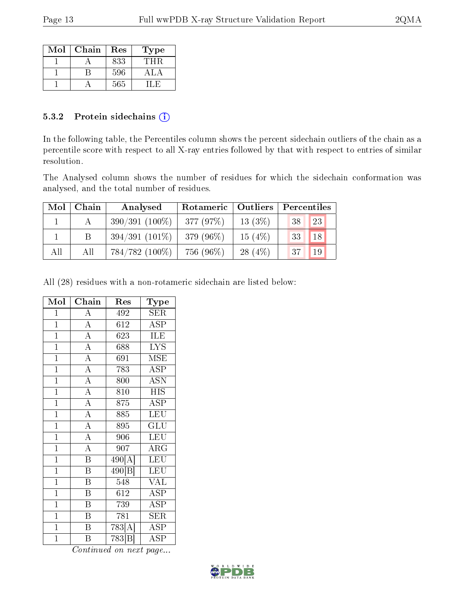| Mol | Chain | Res | Type |
|-----|-------|-----|------|
|     |       | 833 | THR  |
|     |       | 596 |      |
|     |       | 565 |      |

#### 5.3.2 Protein sidechains  $(i)$

In the following table, the Percentiles column shows the percent sidechain outliers of the chain as a percentile score with respect to all X-ray entries followed by that with respect to entries of similar resolution.

The Analysed column shows the number of residues for which the sidechain conformation was analysed, and the total number of residues.

| Mol | Chain | Analysed         | Rotameric   Outliers |           | Percentiles |    |
|-----|-------|------------------|----------------------|-----------|-------------|----|
|     |       | $390/391(100\%)$ | 377(97%)             | $13(3\%)$ | 38          | 23 |
|     | B     | $394/391(101\%)$ | 379 (96%)            | 15(4%)    | 33          | 18 |
| All | All   | $784/782(100\%)$ | 756 (96%)            | 28(4%)    | 137         | 19 |

All (28) residues with a non-rotameric sidechain are listed below:

| Mol            | Chain                   | Res                        | Type                      |
|----------------|-------------------------|----------------------------|---------------------------|
| $\mathbf{1}$   | $\boldsymbol{A}$        | 492                        | $\rm{SER}$                |
| $\overline{1}$ | $\overline{A}$          | $\overline{612}$           | $\overline{\text{ASP}}$   |
| $\mathbf{1}$   | $\overline{A}$          | 623                        | ILE                       |
| $\mathbf{1}$   | $\overline{\rm A}$      | 688                        | <b>LYS</b>                |
| $\overline{1}$ | $\overline{A}$          | 691                        | $_{\rm{MSE}}$             |
| $\overline{1}$ | $\overline{\rm A}$      | 783                        | <b>ASP</b>                |
| $\overline{1}$ | $\overline{A}$          | 800                        | $\overline{\mathrm{ASN}}$ |
| $\mathbf{1}$   | $\overline{A}$          | 810                        | <b>HIS</b>                |
| $\overline{1}$ | $\overline{\rm A}$      | 875                        | <b>ASP</b>                |
| $\overline{1}$ | $\overline{A}$          | 885                        | LEU                       |
| $\mathbf{1}$   | $\overline{\rm A}$      | 895                        | GLU                       |
| $\overline{1}$ | $\overline{A}$          | 906                        | LEU                       |
| $\overline{1}$ | $\overline{A}$          | 907                        | $\rm{ARG}$                |
| $\mathbf{1}$   | $\overline{\mathrm{B}}$ | 490[A]                     | LEU                       |
| $\overline{1}$ | $\overline{\mathrm{B}}$ | $\overline{490}[\text{B}]$ | LEU                       |
| $\mathbf{1}$   | $\, {\bf B}$            | 548                        | VAL                       |
| $\mathbf{1}$   | $\overline{\mathrm{B}}$ | 612                        | ASP                       |
| $\overline{1}$ | B                       | 739                        | $\operatorname{ASP}$      |
| $\overline{1}$ | $\overline{\mathrm{B}}$ | 781                        | $\overline{\text{SER}}$   |
| $\mathbf{1}$   | $\, {\bf B}$            | 783[A]                     | ASP                       |
| $\mathbf 1$    | Β                       | 783[B]                     | $\operatorname{ASP}$      |

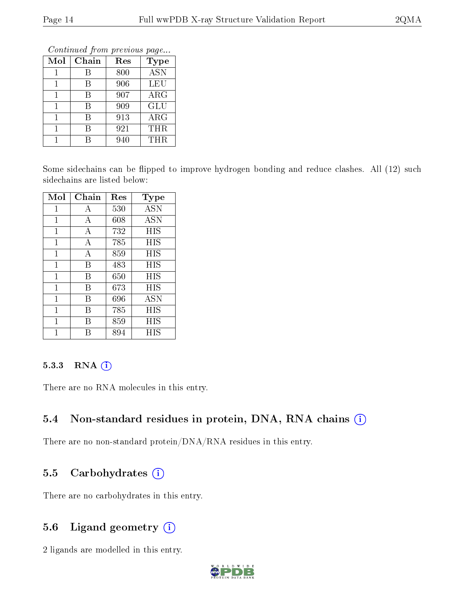Continued from previous page...

| Mol | Chain | Res | <b>Type</b> |
|-----|-------|-----|-------------|
|     | В     | 800 | <b>ASN</b>  |
|     | R     | 906 | <b>LEU</b>  |
|     | В     | 907 | $\rm{ARG}$  |
|     | В     | 909 | GLU         |
|     | R     | 913 | $\rm{ARG}$  |
|     | В     | 921 | THR         |
|     |       | 940 | THR         |

Some sidechains can be flipped to improve hydrogen bonding and reduce clashes. All (12) such sidechains are listed below:

| Mol            | Chain | Res | Type       |
|----------------|-------|-----|------------|
| 1              | А     | 530 | <b>ASN</b> |
| $\mathbf{1}$   | A     | 608 | <b>ASN</b> |
| $\mathbf{1}$   | А     | 732 | HIS        |
| 1              | А     | 785 | НIS        |
| 1              | А     | 859 | HIS        |
| $\mathbf{1}$   | B     | 483 | HIS        |
| 1              | В     | 650 | HIS        |
| $\overline{1}$ | В     | 673 | HIS        |
| 1              | В     | 696 | <b>ASN</b> |
| 1              | В     | 785 | НIS        |
| 1              | В     | 859 | HIS        |
| 1              | R     | 894 | НIS        |

#### 5.3.3 RNA [O](https://www.wwpdb.org/validation/2017/XrayValidationReportHelp#rna)i

There are no RNA molecules in this entry.

### 5.4 Non-standard residues in protein, DNA, RNA chains (i)

There are no non-standard protein/DNA/RNA residues in this entry.

### 5.5 Carbohydrates  $(i)$

There are no carbohydrates in this entry.

### 5.6 Ligand geometry (i)

2 ligands are modelled in this entry.

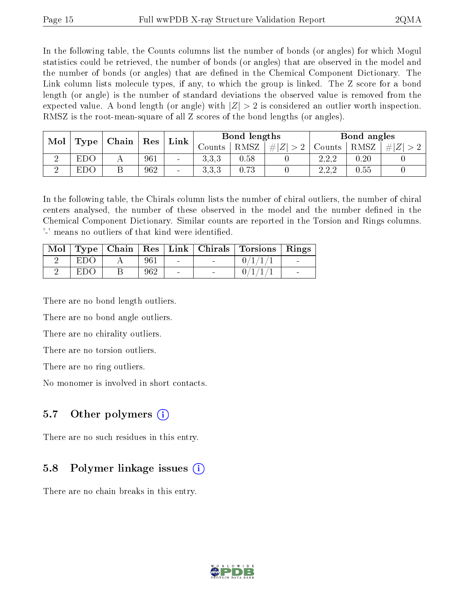In the following table, the Counts columns list the number of bonds (or angles) for which Mogul statistics could be retrieved, the number of bonds (or angles) that are observed in the model and the number of bonds (or angles) that are dened in the Chemical Component Dictionary. The Link column lists molecule types, if any, to which the group is linked. The Z score for a bond length (or angle) is the number of standard deviations the observed value is removed from the expected value. A bond length (or angle) with  $|Z| > 2$  is considered an outlier worth inspection. RMSZ is the root-mean-square of all Z scores of the bond lengths (or angles).

| Mol | Type      | Chain | Res | Link                     | Bond lengths |      |                 | Bond angles                                                           |      |     |
|-----|-----------|-------|-----|--------------------------|--------------|------|-----------------|-----------------------------------------------------------------------|------|-----|
|     |           |       |     |                          | Jounts .     | RMSZ | $\# Z^{\perp} $ | $_{\rm \sim outnts}$                                                  | RMSZ | H Z |
|     | DΟ<br>H.I | 4 A   | 961 | $\overline{\phantom{a}}$ | ს.ს.ს        | 0.58 |                 | റല<br>$\overline{\omega}$ , $\overline{\omega}$ , $\overline{\omega}$ | 0.20 |     |
|     | £DC.      |       | 962 | $\overline{\phantom{a}}$ | 999<br>U.U.U | 0.73 |                 | ററ                                                                    | 0.55 |     |

In the following table, the Chirals column lists the number of chiral outliers, the number of chiral centers analysed, the number of these observed in the model and the number defined in the Chemical Component Dictionary. Similar counts are reported in the Torsion and Rings columns. '-' means no outliers of that kind were identified.

| Mol |     |     |        | $Type   Chain   Res   Link   Christmas  $ | Torsions   Rings |        |
|-----|-----|-----|--------|-------------------------------------------|------------------|--------|
|     | EDO | 961 | $\sim$ |                                           |                  | $\sim$ |
|     | EDO | 962 |        | $\qquad \qquad$                           |                  | $\sim$ |

There are no bond length outliers.

There are no bond angle outliers.

There are no chirality outliers.

There are no torsion outliers.

There are no ring outliers.

No monomer is involved in short contacts.

### 5.7 [O](https://www.wwpdb.org/validation/2017/XrayValidationReportHelp#nonstandard_residues_and_ligands)ther polymers  $(i)$

There are no such residues in this entry.

#### 5.8 Polymer linkage issues (i)

There are no chain breaks in this entry.

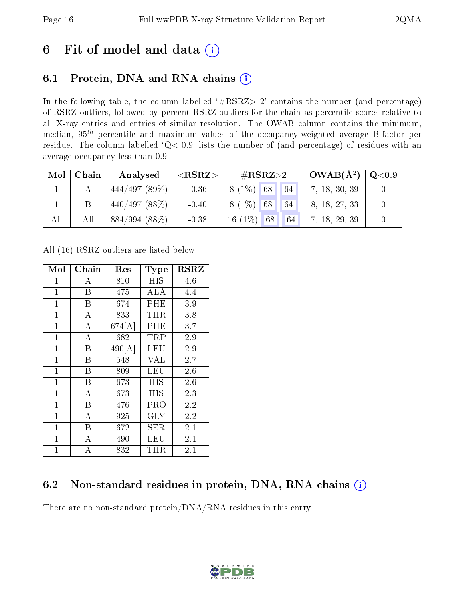# 6 Fit of model and data  $(i)$

## 6.1 Protein, DNA and RNA chains  $(i)$

In the following table, the column labelled  $#RSRZ> 2'$  contains the number (and percentage) of RSRZ outliers, followed by percent RSRZ outliers for the chain as percentile scores relative to all X-ray entries and entries of similar resolution. The OWAB column contains the minimum, median,  $95<sup>th</sup>$  percentile and maximum values of the occupancy-weighted average B-factor per residue. The column labelled ' $Q< 0.9$ ' lists the number of (and percentage) of residues with an average occupancy less than 0.9.

| Mol | Chain | Analysed        | ${ <\hspace{-1.5pt}{\mathrm{RSRZ}} \hspace{-1.5pt}>}$ | $\#\text{RSRZ}\text{>2}$ | $\parallel$ OWAB(Å <sup>2</sup> ) $\parallel$ | $^{\circ}$ Q $<$ 0.9 $^{\circ}$ |
|-----|-------|-----------------|-------------------------------------------------------|--------------------------|-----------------------------------------------|---------------------------------|
|     |       | $144/497(89\%)$ | $-0.36$                                               | $8(1\%)$ 68<br>64        | 7, 18, 30, 39                                 |                                 |
|     |       | 440/497(88%)    | $-0.40$                                               | $8(1\%)$ 68<br>64        | 8, 18, 27, 33                                 |                                 |
| All | All   | 884/994(88%)    | $-0.38$                                               | $16(1\%)$<br>68<br>64    | 7, 18, 29, 39                                 |                                 |

All (16) RSRZ outliers are listed below:

| Mol          | ${\rm Chain}$      | $\operatorname{Res}% \left( \mathcal{N}\right) \equiv\operatorname{Res}(\mathcal{N}_{0})\cap\mathcal{N}_{1}$ | <b>Type</b> | <b>RSRZ</b> |  |
|--------------|--------------------|--------------------------------------------------------------------------------------------------------------|-------------|-------------|--|
| 1            | А                  | 810                                                                                                          | <b>HIS</b>  | 4.6         |  |
| $\mathbf 1$  | B                  | 475                                                                                                          | ALA         | 4.4         |  |
| $\mathbf{1}$ | B                  | 674                                                                                                          | PHE         | 3.9         |  |
| $\mathbf 1$  | $\boldsymbol{A}$   | 833                                                                                                          | $\rm THR$   | 3.8         |  |
| $\mathbf{1}$ | $\overline{\rm A}$ | 674[A]                                                                                                       | PHE         | 3.7         |  |
| $\mathbf 1$  | $\overline{\rm A}$ | 682                                                                                                          | $\rm TRP$   | 2.9         |  |
| $\mathbf{1}$ | B                  | 490[A]                                                                                                       | LEU         | 2.9         |  |
| $\mathbf{1}$ | B                  | 548                                                                                                          | VAL         | 2.7         |  |
| $\mathbf 1$  | B                  | 809                                                                                                          | LEU         | 2.6         |  |
| $\mathbf{1}$ | B                  | 673                                                                                                          | <b>HIS</b>  | 2.6         |  |
| $\mathbf 1$  | $\bf{A}$           | 673                                                                                                          | HIS         | 2.3         |  |
| $\mathbf 1$  | B                  | 476                                                                                                          | PRO         | 2.2         |  |
| $\mathbf{1}$ | $\overline{A}$     | 925                                                                                                          | GLY         | 2.2         |  |
| $\mathbf 1$  | B                  | 672                                                                                                          | SER         | 2.1         |  |
| $\mathbf{1}$ | $\bf{A}$           | 490                                                                                                          | LEU         | 2.1         |  |
| $\mathbf{1}$ | $\overline{\rm A}$ | 832                                                                                                          | $\rm THR$   | 2.1         |  |

### 6.2 Non-standard residues in protein, DNA, RNA chains  $(i)$

There are no non-standard protein/DNA/RNA residues in this entry.